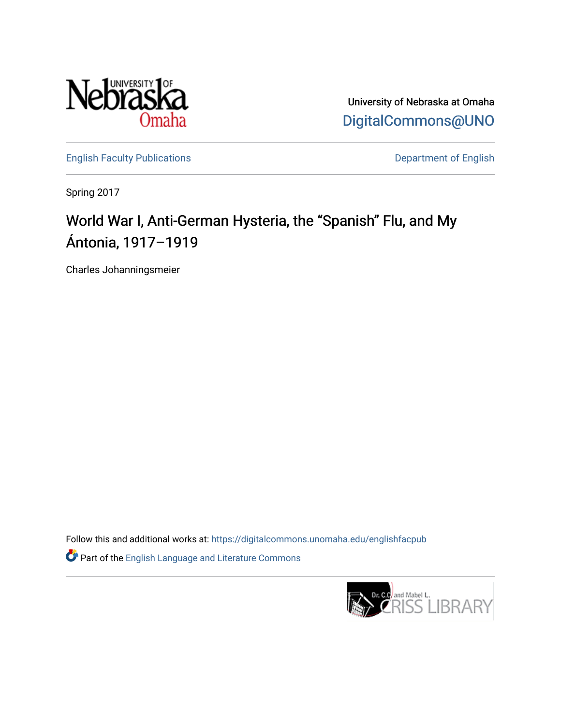

University of Nebraska at Omaha [DigitalCommons@UNO](https://digitalcommons.unomaha.edu/) 

[English Faculty Publications](https://digitalcommons.unomaha.edu/englishfacpub) **Department of English** 

Spring 2017

## World War I, Anti-German Hysteria, the "Spanish" Flu, and My Ántonia, 1917–1919

Charles Johanningsmeier

Follow this and additional works at: [https://digitalcommons.unomaha.edu/englishfacpub](https://digitalcommons.unomaha.edu/englishfacpub?utm_source=digitalcommons.unomaha.edu%2Fenglishfacpub%2F78&utm_medium=PDF&utm_campaign=PDFCoverPages) 

Part of the [English Language and Literature Commons](http://network.bepress.com/hgg/discipline/455?utm_source=digitalcommons.unomaha.edu%2Fenglishfacpub%2F78&utm_medium=PDF&utm_campaign=PDFCoverPages)

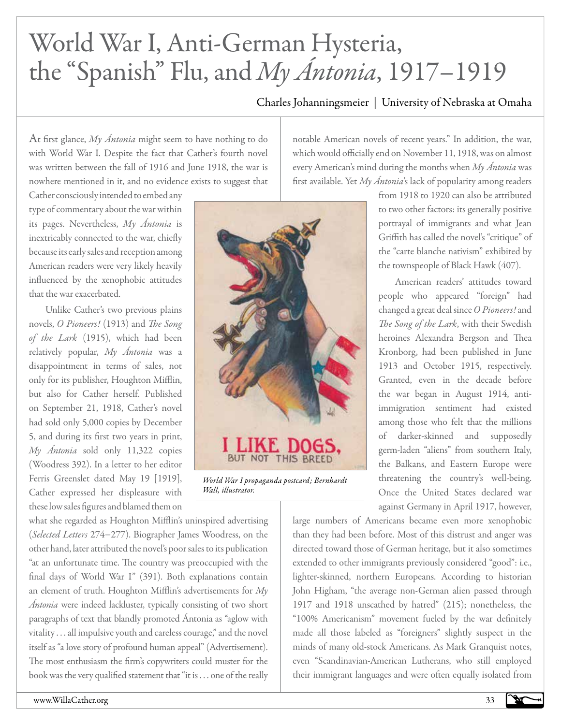## World War I, Anti-German Hysteria, the "Spanish" Flu, and *My Ántonia*, 1917–1919

## Charles Johanningsmeier | University of Nebraska at Omaha

At first glance, *My Ántonia* might seem to have nothing to do with World War I. Despite the fact that Cather's fourth novel was written between the fall of 1916 and June 1918, the war is nowhere mentioned in it, and no evidence exists to suggest that

Cather consciously intended to embed any type of commentary about the war within its pages. Nevertheless, *My Ántonia* is inextricably connected to the war, chiefly because its early sales and reception among American readers were very likely heavily influenced by the xenophobic attitudes that the war exacerbated.

Unlike Cather's two previous plains novels, *O Pioneers!* (1913) and *The Song of the Lark* (1915), which had been relatively popular, *My Ántonia* was a disappointment in terms of sales, not only for its publisher, Houghton Mifflin, but also for Cather herself. Published on September 21, 1918, Cather's novel had sold only 5,000 copies by December 5, and during its first two years in print, *My Ántonia* sold only 11,322 copies (Woodress 392). In a letter to her editor Ferris Greenslet dated May 19 [1919], Cather expressed her displeasure with these low sales figures and blamed them on

what she regarded as Houghton Mifflin's uninspired advertising (*Selected Letters* 274−277). Biographer James Woodress, on the other hand, later attributed the novel's poor sales to its publication "at an unfortunate time. The country was preoccupied with the final days of World War I" (391). Both explanations contain an element of truth. Houghton Mifflin's advertisements for *My Ántonia* were indeed lackluster, typically consisting of two short paragraphs of text that blandly promoted Ántonia as "aglow with vitality . . . all impulsive youth and careless courage," and the novel itself as "a love story of profound human appeal" (Advertisement). The most enthusiasm the firm's copywriters could muster for the book was the very qualified statement that "it is . . . one of the really



*World War I propaganda postcard; Bernhardt Wall, illustrator.*

notable American novels of recent years." In addition, the war, which would officially end on November 11, 1918, was on almost every American's mind during the months when *My Ántonia* was first available. Yet *My Ántonia*'s lack of popularity among readers

from 1918 to 1920 can also be attributed to two other factors: its generally positive portrayal of immigrants and what Jean Griffith has called the novel's "critique" of the "carte blanche nativism" exhibited by the townspeople of Black Hawk (407).

American readers' attitudes toward people who appeared "foreign" had changed a great deal since *O Pioneers!* and *The Song of the Lark*, with their Swedish heroines Alexandra Bergson and Thea Kronborg, had been published in June 1913 and October 1915, respectively. Granted, even in the decade before the war began in August 1914, antiimmigration sentiment had existed among those who felt that the millions of darker-skinned and supposedly germ-laden "aliens" from southern Italy, the Balkans, and Eastern Europe were threatening the country's well-being. Once the United States declared war against Germany in April 1917, however,

large numbers of Americans became even more xenophobic than they had been before. Most of this distrust and anger was directed toward those of German heritage, but it also sometimes extended to other immigrants previously considered "good": i.e., lighter-skinned, northern Europeans. According to historian John Higham, "the average non-German alien passed through 1917 and 1918 unscathed by hatred" (215); nonetheless, the "100% Americanism" movement fueled by the war definitely made all those labeled as "foreigners" slightly suspect in the minds of many old-stock Americans. As Mark Granquist notes, even "Scandinavian-American Lutherans, who still employed their immigrant languages and were often equally isolated from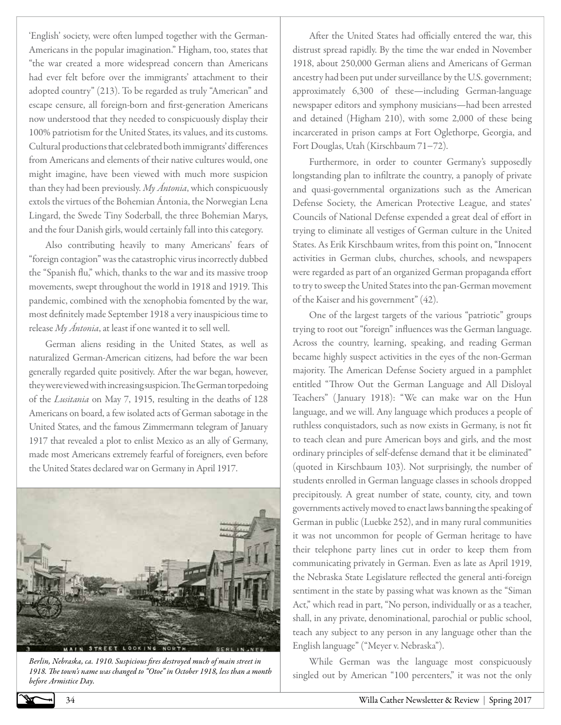'English' society, were often lumped together with the German-Americans in the popular imagination." Higham, too, states that "the war created a more widespread concern than Americans had ever felt before over the immigrants' attachment to their adopted country" (213). To be regarded as truly "American" and escape censure, all foreign-born and first-generation Americans now understood that they needed to conspicuously display their 100% patriotism for the United States, its values, and its customs. Cultural productions that celebrated both immigrants' differences from Americans and elements of their native cultures would, one might imagine, have been viewed with much more suspicion than they had been previously. *My Ántonia*, which conspicuously extols the virtues of the Bohemian Ántonia, the Norwegian Lena Lingard, the Swede Tiny Soderball, the three Bohemian Marys, and the four Danish girls, would certainly fall into this category.

Also contributing heavily to many Americans' fears of "foreign contagion" was the catastrophic virus incorrectly dubbed the "Spanish flu," which, thanks to the war and its massive troop movements, swept throughout the world in 1918 and 1919. This pandemic, combined with the xenophobia fomented by the war, most definitely made September 1918 a very inauspicious time to release *My Ántonia*, at least if one wanted it to sell well.

German aliens residing in the United States, as well as naturalized German-American citizens, had before the war been generally regarded quite positively. After the war began, however, they were viewed with increasing suspicion. The German torpedoing of the *Lusitania* on May 7, 1915, resulting in the deaths of 128 Americans on board, a few isolated acts of German sabotage in the United States, and the famous Zimmermann telegram of January 1917 that revealed a plot to enlist Mexico as an ally of Germany, made most Americans extremely fearful of foreigners, even before the United States declared war on Germany in April 1917.



*Berlin, Nebraska, ca. 1910. Suspicious fires destroyed much of main street in 1918. The town's name was changed to "Otoe" in October 1918, less than a month before Armistice Day.*

After the United States had officially entered the war, this distrust spread rapidly. By the time the war ended in November 1918, about 250,000 German aliens and Americans of German ancestry had been put under surveillance by the U.S. government; approximately 6,300 of these—including German-language newspaper editors and symphony musicians—had been arrested and detained (Higham 210), with some 2,000 of these being incarcerated in prison camps at Fort Oglethorpe, Georgia, and Fort Douglas, Utah (Kirschbaum 71−72).

Furthermore, in order to counter Germany's supposedly longstanding plan to infiltrate the country, a panoply of private and quasi-governmental organizations such as the American Defense Society, the American Protective League, and states' Councils of National Defense expended a great deal of effort in trying to eliminate all vestiges of German culture in the United States. As Erik Kirschbaum writes, from this point on, "Innocent activities in German clubs, churches, schools, and newspapers were regarded as part of an organized German propaganda effort to try to sweep the United States into the pan-German movement of the Kaiser and his government" (42).

One of the largest targets of the various "patriotic" groups trying to root out "foreign" influences was the German language. Across the country, learning, speaking, and reading German became highly suspect activities in the eyes of the non-German majority. The American Defense Society argued in a pamphlet entitled "Throw Out the German Language and All Disloyal Teachers" (January 1918): "We can make war on the Hun language, and we will. Any language which produces a people of ruthless conquistadors, such as now exists in Germany, is not fit to teach clean and pure American boys and girls, and the most ordinary principles of self-defense demand that it be eliminated" (quoted in Kirschbaum 103). Not surprisingly, the number of students enrolled in German language classes in schools dropped precipitously. A great number of state, county, city, and town governments actively moved to enact laws banning the speaking of German in public (Luebke 252), and in many rural communities it was not uncommon for people of German heritage to have their telephone party lines cut in order to keep them from communicating privately in German. Even as late as April 1919, the Nebraska State Legislature reflected the general anti-foreign sentiment in the state by passing what was known as the "Siman Act," which read in part, "No person, individually or as a teacher, shall, in any private, denominational, parochial or public school, teach any subject to any person in any language other than the English language" ("Meyer v. Nebraska").

While German was the language most conspicuously singled out by American "100 percenters," it was not the only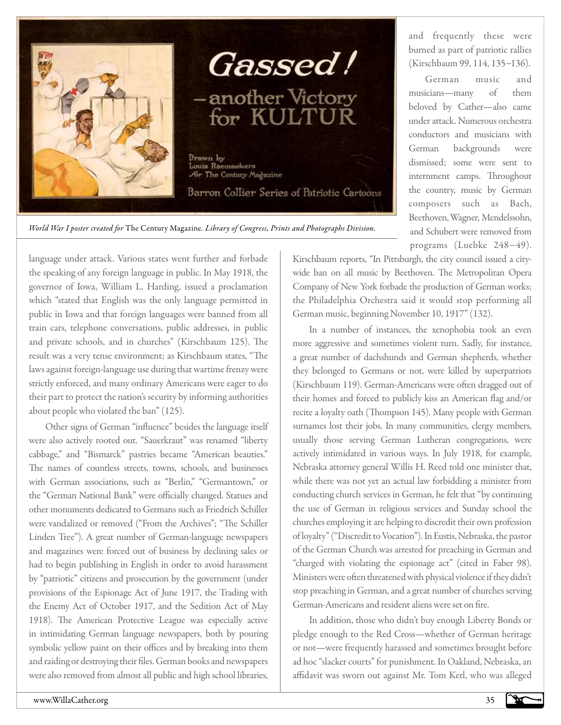



and frequently these were burned as part of patriotic rallies (Kirschbaum 99, 114, 135−136).

German music and musicians—many of them beloved by Cather—also came under attack. Numerous orchestra conductors and musicians with German backgrounds were dismissed; some were sent to internment camps. Throughout the country, music by German composers such as Bach, Beethoven, Wagner, Mendelssohn, and Schubert were removed from programs (Luebke 248−49).

*World War I poster created for* The Century Magazine*. Library of Congress, Prints and Photographs Division.*

language under attack. Various states went further and forbade the speaking of any foreign language in public. In May 1918, the governor of Iowa, William L. Harding, issued a proclamation which "stated that English was the only language permitted in public in Iowa and that foreign languages were banned from all train cars, telephone conversations, public addresses, in public and private schools, and in churches" (Kirschbaum 125). The result was a very tense environment; as Kirschbaum states, "The laws against foreign-language use during that wartime frenzy were strictly enforced, and many ordinary Americans were eager to do their part to protect the nation's security by informing authorities about people who violated the ban" (125).

Other signs of German "influence" besides the language itself were also actively rooted out. "Sauerkraut" was renamed "liberty cabbage," and "Bismarck" pastries became "American beauties." The names of countless streets, towns, schools, and businesses with German associations, such as "Berlin," "Germantown," or the "German National Bank" were officially changed. Statues and other monuments dedicated to Germans such as Friedrich Schiller were vandalized or removed ("From the Archives"; "The Schiller Linden Tree"). A great number of German-language newspapers and magazines were forced out of business by declining sales or had to begin publishing in English in order to avoid harassment by "patriotic" citizens and prosecution by the government (under provisions of the Espionage Act of June 1917, the Trading with the Enemy Act of October 1917, and the Sedition Act of May 1918). The American Protective League was especially active in intimidating German language newspapers, both by pouring symbolic yellow paint on their offices and by breaking into them and raiding or destroying their files. German books and newspapers were also removed from almost all public and high school libraries,

Kirschbaum reports, "In Pittsburgh, the city council issued a citywide ban on all music by Beethoven. The Metropolitan Opera Company of New York forbade the production of German works; the Philadelphia Orchestra said it would stop performing all German music, beginning November 10, 1917" (132).

In a number of instances, the xenophobia took an even more aggressive and sometimes violent turn. Sadly, for instance, a great number of dachshunds and German shepherds, whether they belonged to Germans or not, were killed by superpatriots (Kirschbaum 119). German-Americans were often dragged out of their homes and forced to publicly kiss an American flag and/or recite a loyalty oath (Thompson 145). Many people with German surnames lost their jobs. In many communities, clergy members, usually those serving German Lutheran congregations, were actively intimidated in various ways. In July 1918, for example, Nebraska attorney general Willis H. Reed told one minister that, while there was not yet an actual law forbidding a minister from conducting church services in German, he felt that "by continuing the use of German in religious services and Sunday school the churches employing it are helping to discredit their own profession of loyalty" ("Discredit to Vocation"). In Eustis, Nebraska, the pastor of the German Church was arrested for preaching in German and "charged with violating the espionage act" (cited in Faber 98). Ministers were often threatened with physical violence if they didn't stop preaching in German, and a great number of churches serving German-Americans and resident aliens were set on fire.

In addition, those who didn't buy enough Liberty Bonds or pledge enough to the Red Cross—whether of German heritage or not—were frequently harassed and sometimes brought before ad hoc "slacker courts" for punishment. In Oakland, Nebraska, an affidavit was sworn out against Mr. Tom Kerl, who was alleged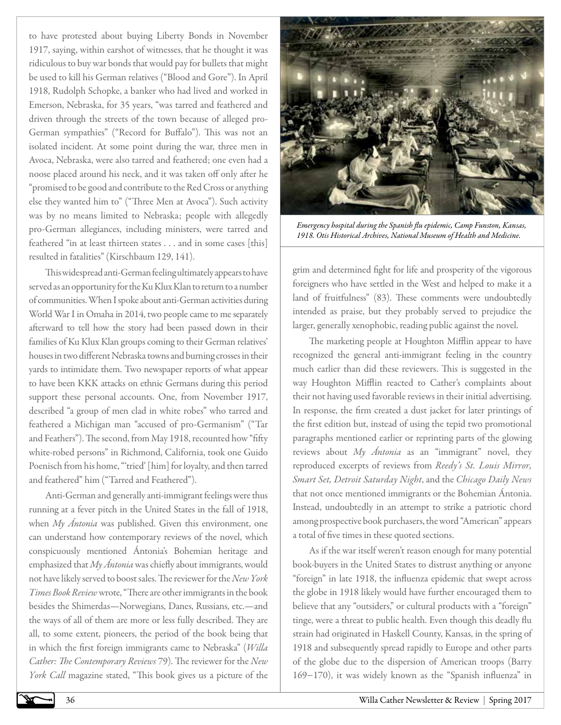to have protested about buying Liberty Bonds in November 1917, saying, within earshot of witnesses, that he thought it was ridiculous to buy war bonds that would pay for bullets that might be used to kill his German relatives ("Blood and Gore"). In April 1918, Rudolph Schopke, a banker who had lived and worked in Emerson, Nebraska, for 35 years, "was tarred and feathered and driven through the streets of the town because of alleged pro-German sympathies" ("Record for Buffalo"). This was not an isolated incident. At some point during the war, three men in Avoca, Nebraska, were also tarred and feathered; one even had a noose placed around his neck, and it was taken off only after he "promised to be good and contribute to the Red Cross or anything else they wanted him to" ("Three Men at Avoca"). Such activity was by no means limited to Nebraska; people with allegedly pro-German allegiances, including ministers, were tarred and feathered "in at least thirteen states . . . and in some cases [this] resulted in fatalities" (Kirschbaum 129, 141).

This widespread anti-German feeling ultimately appears to have served as an opportunity for the Ku Klux Klan to return to a number of communities. When I spoke about anti-German activities during World War I in Omaha in 2014, two people came to me separately afterward to tell how the story had been passed down in their families of Ku Klux Klan groups coming to their German relatives' houses in two different Nebraska towns and burning crosses in their yards to intimidate them. Two newspaper reports of what appear to have been KKK attacks on ethnic Germans during this period support these personal accounts. One, from November 1917, described "a group of men clad in white robes" who tarred and feathered a Michigan man "accused of pro-Germanism" ("Tar and Feathers"). The second, from May 1918, recounted how "fifty white-robed persons" in Richmond, California, took one Guido Poenisch from his home, "'tried' [him] for loyalty, and then tarred and feathered" him ("Tarred and Feathered").

Anti-German and generally anti-immigrant feelings were thus running at a fever pitch in the United States in the fall of 1918, when *My Ántonia* was published. Given this environment, one can understand how contemporary reviews of the novel, which conspicuously mentioned Ántonia's Bohemian heritage and emphasized that *My Ántonia* was chiefly about immigrants, would not have likely served to boost sales. The reviewer for the *New York Times Book Review* wrote, "There are other immigrants in the book besides the Shimerdas—Norwegians, Danes, Russians, etc.—and the ways of all of them are more or less fully described. They are all, to some extent, pioneers, the period of the book being that in which the first foreign immigrants came to Nebraska" (*Willa Cather: The Contemporary Reviews* 79). The reviewer for the *New York Call* magazine stated, "This book gives us a picture of the



*Emergency hospital during the Spanish flu epidemic, Camp Funston, Kansas, 1918. Otis Historical Archives, National Museum of Health and Medicine.*

grim and determined fight for life and prosperity of the vigorous foreigners who have settled in the West and helped to make it a land of fruitfulness" (83). These comments were undoubtedly intended as praise, but they probably served to prejudice the larger, generally xenophobic, reading public against the novel.

The marketing people at Houghton Mifflin appear to have recognized the general anti-immigrant feeling in the country much earlier than did these reviewers. This is suggested in the way Houghton Mifflin reacted to Cather's complaints about their not having used favorable reviews in their initial advertising. In response, the firm created a dust jacket for later printings of the first edition but, instead of using the tepid two promotional paragraphs mentioned earlier or reprinting parts of the glowing reviews about *My Ántonia* as an "immigrant" novel, they reproduced excerpts of reviews from *Reedy's St. Louis Mirror, Smart Set, Detroit Saturday Night*, and the *Chicago Daily News*  that not once mentioned immigrants or the Bohemian Ántonia. Instead, undoubtedly in an attempt to strike a patriotic chord among prospective book purchasers, the word "American" appears a total of five times in these quoted sections.

As if the war itself weren't reason enough for many potential book-buyers in the United States to distrust anything or anyone "foreign" in late 1918, the influenza epidemic that swept across the globe in 1918 likely would have further encouraged them to believe that any "outsiders," or cultural products with a "foreign" tinge, were a threat to public health. Even though this deadly flu strain had originated in Haskell County, Kansas, in the spring of 1918 and subsequently spread rapidly to Europe and other parts of the globe due to the dispersion of American troops (Barry 169−170), it was widely known as the "Spanish influenza" in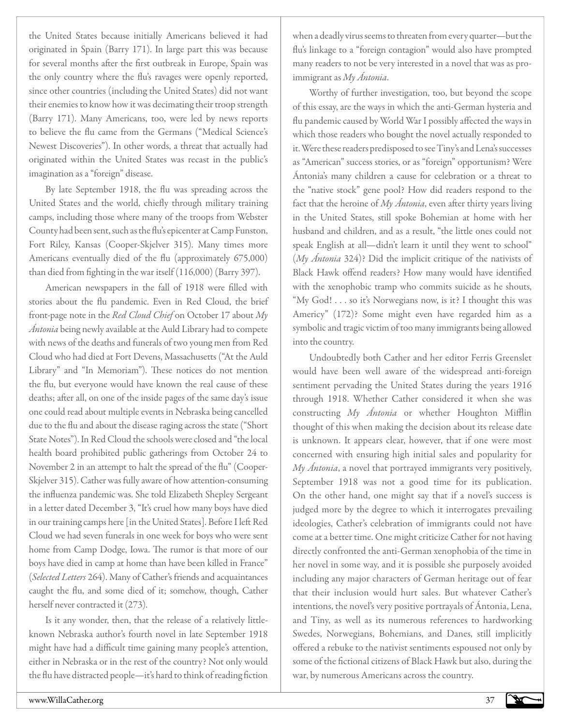the United States because initially Americans believed it had originated in Spain (Barry 171). In large part this was because for several months after the first outbreak in Europe, Spain was the only country where the flu's ravages were openly reported, since other countries (including the United States) did not want their enemies to know how it was decimating their troop strength (Barry 171). Many Americans, too, were led by news reports to believe the flu came from the Germans ("Medical Science's Newest Discoveries"). In other words, a threat that actually had originated within the United States was recast in the public's imagination as a "foreign" disease.

By late September 1918, the flu was spreading across the United States and the world, chiefly through military training camps, including those where many of the troops from Webster County had been sent, such as the flu's epicenter at Camp Funston, Fort Riley, Kansas (Cooper-Skjelver 315). Many times more Americans eventually died of the flu (approximately 675,000) than died from fighting in the war itself (116,000) (Barry 397).

American newspapers in the fall of 1918 were filled with stories about the flu pandemic. Even in Red Cloud, the brief front-page note in the *Red Cloud Chief* on October 17 about *My Ántonia* being newly available at the Auld Library had to compete with news of the deaths and funerals of two young men from Red Cloud who had died at Fort Devens, Massachusetts ("At the Auld Library" and "In Memoriam"). These notices do not mention the flu, but everyone would have known the real cause of these deaths; after all, on one of the inside pages of the same day's issue one could read about multiple events in Nebraska being cancelled due to the flu and about the disease raging across the state ("Short State Notes"). In Red Cloud the schools were closed and "the local health board prohibited public gatherings from October 24 to November 2 in an attempt to halt the spread of the flu" (Cooper-Skjelver 315). Cather was fully aware of how attention-consuming the influenza pandemic was. She told Elizabeth Shepley Sergeant in a letter dated December 3, "It's cruel how many boys have died in our training camps here [in the United States]. Before I left Red Cloud we had seven funerals in one week for boys who were sent home from Camp Dodge, Iowa. The rumor is that more of our boys have died in camp at home than have been killed in France" (*Selected Letters* 264). Many of Cather's friends and acquaintances caught the flu, and some died of it; somehow, though, Cather herself never contracted it (273).

Is it any wonder, then, that the release of a relatively littleknown Nebraska author's fourth novel in late September 1918 might have had a difficult time gaining many people's attention, either in Nebraska or in the rest of the country? Not only would the flu have distracted people—it's hard to think of reading fiction

when a deadly virus seems to threaten from every quarter—but the flu's linkage to a "foreign contagion" would also have prompted many readers to not be very interested in a novel that was as proimmigrant as *My Ántonia*.

Worthy of further investigation, too, but beyond the scope of this essay, are the ways in which the anti-German hysteria and flu pandemic caused by World War I possibly affected the ways in which those readers who bought the novel actually responded to it. Were these readers predisposed to see Tiny's and Lena's successes as "American" success stories, or as "foreign" opportunism? Were Ántonia's many children a cause for celebration or a threat to the "native stock" gene pool? How did readers respond to the fact that the heroine of *My Ántonia*, even after thirty years living in the United States, still spoke Bohemian at home with her husband and children, and as a result, "the little ones could not speak English at all—didn't learn it until they went to school" (*My Ántonia* 324)? Did the implicit critique of the nativists of Black Hawk offend readers? How many would have identified with the xenophobic tramp who commits suicide as he shouts, "My God! . . . so it's Norwegians now, is it? I thought this was Americy" (172)? Some might even have regarded him as a symbolic and tragic victim of too many immigrants being allowed into the country.

Undoubtedly both Cather and her editor Ferris Greenslet would have been well aware of the widespread anti-foreign sentiment pervading the United States during the years 1916 through 1918. Whether Cather considered it when she was constructing *My Ántonia* or whether Houghton Mifflin thought of this when making the decision about its release date is unknown. It appears clear, however, that if one were most concerned with ensuring high initial sales and popularity for *My Ántonia*, a novel that portrayed immigrants very positively, September 1918 was not a good time for its publication. On the other hand, one might say that if a novel's success is judged more by the degree to which it interrogates prevailing ideologies, Cather's celebration of immigrants could not have come at a better time. One might criticize Cather for not having directly confronted the anti-German xenophobia of the time in her novel in some way, and it is possible she purposely avoided including any major characters of German heritage out of fear that their inclusion would hurt sales. But whatever Cather's intentions, the novel's very positive portrayals of Ántonia, Lena, and Tiny, as well as its numerous references to hardworking Swedes, Norwegians, Bohemians, and Danes, still implicitly offered a rebuke to the nativist sentiments espoused not only by some of the fictional citizens of Black Hawk but also, during the war, by numerous Americans across the country.